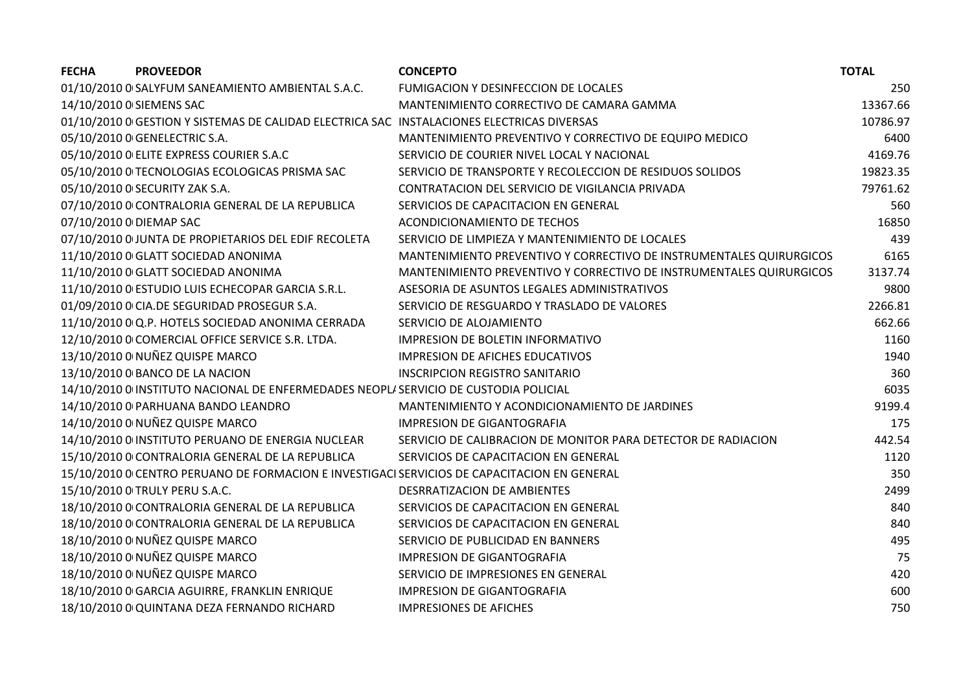| <b>FECHA</b><br><b>PROVEEDOR</b>                                                            | <b>CONCEPTO</b>                                                     | <b>TOTAL</b> |
|---------------------------------------------------------------------------------------------|---------------------------------------------------------------------|--------------|
| 01/10/2010 0 SALYFUM SANEAMIENTO AMBIENTAL S.A.C.                                           | FUMIGACION Y DESINFECCION DE LOCALES                                | 250          |
| 14/10/2010 0 SIEMENS SAC                                                                    | MANTENIMIENTO CORRECTIVO DE CAMARA GAMMA                            | 13367.66     |
| 01/10/2010 0 GESTION Y SISTEMAS DE CALIDAD ELECTRICA SAC INSTALACIONES ELECTRICAS DIVERSAS  |                                                                     | 10786.97     |
| 05/10/2010 0 GENELECTRIC S.A.                                                               | MANTENIMIENTO PREVENTIVO Y CORRECTIVO DE EQUIPO MEDICO              | 6400         |
| 05/10/2010 O ELITE EXPRESS COURIER S.A.C                                                    | SERVICIO DE COURIER NIVEL LOCAL Y NACIONAL                          | 4169.76      |
| 05/10/2010 0 TECNOLOGIAS ECOLOGICAS PRISMA SAC                                              | SERVICIO DE TRANSPORTE Y RECOLECCION DE RESIDUOS SOLIDOS            | 19823.35     |
| 05/10/2010 0 SECURITY ZAK S.A.                                                              | CONTRATACION DEL SERVICIO DE VIGILANCIA PRIVADA                     | 79761.62     |
| 07/10/2010 0 CONTRALORIA GENERAL DE LA REPUBLICA                                            | SERVICIOS DE CAPACITACION EN GENERAL                                | 560          |
| 07/10/2010 0 DIEMAP SAC                                                                     | ACONDICIONAMIENTO DE TECHOS                                         | 16850        |
| 07/10/2010 0 JUNTA DE PROPIETARIOS DEL EDIF RECOLETA                                        | SERVICIO DE LIMPIEZA Y MANTENIMIENTO DE LOCALES                     | 439          |
| 11/10/2010 0 GLATT SOCIEDAD ANONIMA                                                         | MANTENIMIENTO PREVENTIVO Y CORRECTIVO DE INSTRUMENTALES QUIRURGICOS | 6165         |
| 11/10/2010 0 GLATT SOCIEDAD ANONIMA                                                         | MANTENIMIENTO PREVENTIVO Y CORRECTIVO DE INSTRUMENTALES QUIRURGICOS | 3137.74      |
| 11/10/2010 0 ESTUDIO LUIS ECHECOPAR GARCIA S.R.L.                                           | ASESORIA DE ASUNTOS LEGALES ADMINISTRATIVOS                         | 9800         |
| 01/09/2010 0 CIA.DE SEGURIDAD PROSEGUR S.A.                                                 | SERVICIO DE RESGUARDO Y TRASLADO DE VALORES                         | 2266.81      |
| 11/10/2010 0 Q.P. HOTELS SOCIEDAD ANONIMA CERRADA                                           | SERVICIO DE ALOJAMIENTO                                             | 662.66       |
| 12/10/2010 0 COMERCIAL OFFICE SERVICE S.R. LTDA.                                            | <b>IMPRESION DE BOLETIN INFORMATIVO</b>                             | 1160         |
| 13/10/2010 0 NUÑEZ QUISPE MARCO                                                             | <b>IMPRESION DE AFICHES EDUCATIVOS</b>                              | 1940         |
| 13/10/2010 0 BANCO DE LA NACION                                                             | <b>INSCRIPCION REGISTRO SANITARIO</b>                               | 360          |
| 14/10/2010 0 INSTITUTO NACIONAL DE ENFERMEDADES NEOPLI SERVICIO DE CUSTODIA POLICIAL        |                                                                     | 6035         |
| 14/10/2010 0 PARHUANA BANDO LEANDRO                                                         | MANTENIMIENTO Y ACONDICIONAMIENTO DE JARDINES                       | 9199.4       |
| 14/10/2010 0 NUÑEZ QUISPE MARCO                                                             | <b>IMPRESION DE GIGANTOGRAFIA</b>                                   | 175          |
| 14/10/2010 0 INSTITUTO PERUANO DE ENERGIA NUCLEAR                                           | SERVICIO DE CALIBRACION DE MONITOR PARA DETECTOR DE RADIACION       | 442.54       |
| 15/10/2010 0 CONTRALORIA GENERAL DE LA REPUBLICA                                            | SERVICIOS DE CAPACITACION EN GENERAL                                | 1120         |
| 15/10/2010 0 CENTRO PERUANO DE FORMACION E INVESTIGACI SERVICIOS DE CAPACITACION EN GENERAL |                                                                     | 350          |
| 15/10/2010 0 TRULY PERU S.A.C.                                                              | DESRRATIZACION DE AMBIENTES                                         | 2499         |
| 18/10/2010 O CONTRALORIA GENERAL DE LA REPUBLICA                                            | SERVICIOS DE CAPACITACION EN GENERAL                                | 840          |
| 18/10/2010 O CONTRALORIA GENERAL DE LA REPUBLICA                                            | SERVICIOS DE CAPACITACION EN GENERAL                                | 840          |
| 18/10/2010 0 NUÑEZ QUISPE MARCO                                                             | SERVICIO DE PUBLICIDAD EN BANNERS                                   | 495          |
| 18/10/2010 0 NUÑEZ QUISPE MARCO                                                             | <b>IMPRESION DE GIGANTOGRAFIA</b>                                   | 75           |
| 18/10/2010 0 NUÑEZ QUISPE MARCO                                                             | SERVICIO DE IMPRESIONES EN GENERAL                                  | 420          |
| 18/10/2010 O GARCIA AGUIRRE, FRANKLIN ENRIQUE                                               | <b>IMPRESION DE GIGANTOGRAFIA</b>                                   | 600          |
| 18/10/2010 0 QUINTANA DEZA FERNANDO RICHARD                                                 | <b>IMPRESIONES DE AFICHES</b>                                       | 750          |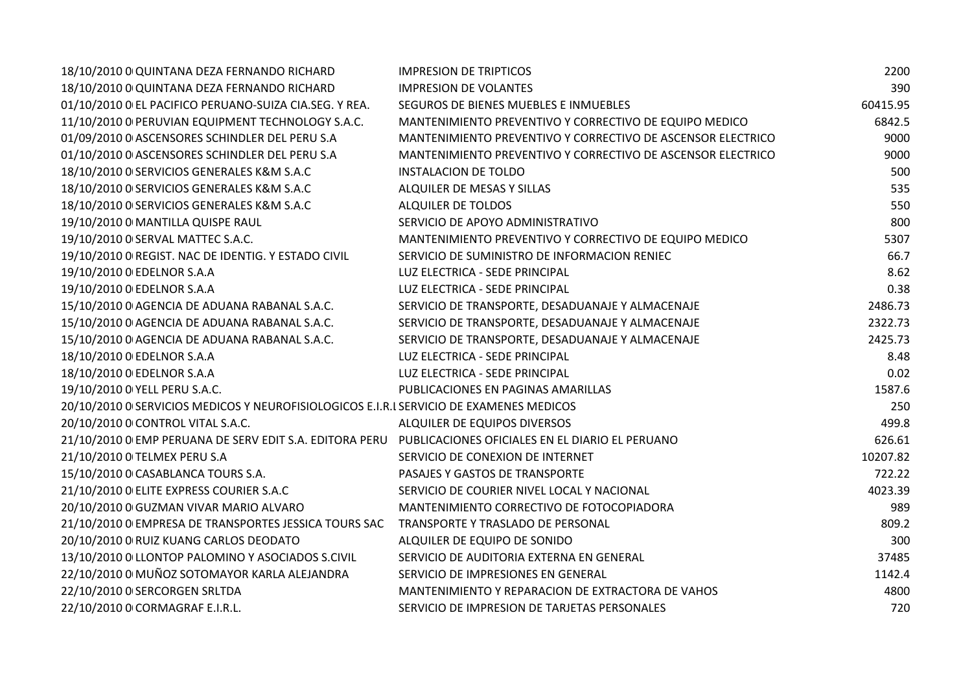| 18/10/2010 0 QUINTANA DEZA FERNANDO RICHARD                                                             | <b>IMPRESION DE TRIPTICOS</b>                               | 2200     |
|---------------------------------------------------------------------------------------------------------|-------------------------------------------------------------|----------|
| 18/10/2010 0 QUINTANA DEZA FERNANDO RICHARD                                                             | <b>IMPRESION DE VOLANTES</b>                                | 390      |
| 01/10/2010 O EL PACIFICO PERUANO-SUIZA CIA.SEG. Y REA.                                                  | SEGUROS DE BIENES MUEBLES E INMUEBLES                       | 60415.95 |
| 11/10/2010 O PERUVIAN EQUIPMENT TECHNOLOGY S.A.C.                                                       | MANTENIMIENTO PREVENTIVO Y CORRECTIVO DE EQUIPO MEDICO      | 6842.5   |
| 01/09/2010 0 ASCENSORES SCHINDLER DEL PERU S.A                                                          | MANTENIMIENTO PREVENTIVO Y CORRECTIVO DE ASCENSOR ELECTRICO | 9000     |
| 01/10/2010 0 ASCENSORES SCHINDLER DEL PERU S.A                                                          | MANTENIMIENTO PREVENTIVO Y CORRECTIVO DE ASCENSOR ELECTRICO | 9000     |
| 18/10/2010 0 SERVICIOS GENERALES K&M S.A.C                                                              | <b>INSTALACION DE TOLDO</b>                                 | 500      |
| 18/10/2010 O SERVICIOS GENERALES K&M S.A.C                                                              | ALQUILER DE MESAS Y SILLAS                                  | 535      |
| 18/10/2010 0 SERVICIOS GENERALES K&M S.A.C                                                              | ALQUILER DE TOLDOS                                          | 550      |
| 19/10/2010 0 MANTILLA QUISPE RAUL                                                                       | SERVICIO DE APOYO ADMINISTRATIVO                            | 800      |
| 19/10/2010 0 SERVAL MATTEC S.A.C.                                                                       | MANTENIMIENTO PREVENTIVO Y CORRECTIVO DE EQUIPO MEDICO      | 5307     |
| 19/10/2010 0 REGIST. NAC DE IDENTIG. Y ESTADO CIVIL                                                     | SERVICIO DE SUMINISTRO DE INFORMACION RENIEC                | 66.7     |
| 19/10/2010 0 EDELNOR S.A.A                                                                              | LUZ ELECTRICA - SEDE PRINCIPAL                              | 8.62     |
| 19/10/2010 0 EDELNOR S.A.A                                                                              | LUZ ELECTRICA - SEDE PRINCIPAL                              | 0.38     |
| 15/10/2010 0 AGENCIA DE ADUANA RABANAL S.A.C.                                                           | SERVICIO DE TRANSPORTE, DESADUANAJE Y ALMACENAJE            | 2486.73  |
| 15/10/2010 0 AGENCIA DE ADUANA RABANAL S.A.C.                                                           | SERVICIO DE TRANSPORTE, DESADUANAJE Y ALMACENAJE            | 2322.73  |
| 15/10/2010 0 AGENCIA DE ADUANA RABANAL S.A.C.                                                           | SERVICIO DE TRANSPORTE, DESADUANAJE Y ALMACENAJE            | 2425.73  |
| 18/10/2010 0 EDELNOR S.A.A                                                                              | LUZ ELECTRICA - SEDE PRINCIPAL                              | 8.48     |
| 18/10/2010 0 EDELNOR S.A.A                                                                              | LUZ ELECTRICA - SEDE PRINCIPAL                              | 0.02     |
| 19/10/2010 0 YELL PERU S.A.C.                                                                           | PUBLICACIONES EN PAGINAS AMARILLAS                          | 1587.6   |
| 20/10/2010 0 SERVICIOS MEDICOS Y NEUROFISIOLOGICOS E.I.R.I SERVICIO DE EXAMENES MEDICOS                 |                                                             | 250      |
| 20/10/2010 0 CONTROL VITAL S.A.C.                                                                       | ALQUILER DE EQUIPOS DIVERSOS                                | 499.8    |
| 21/10/2010 0 EMP PERUANA DE SERV EDIT S.A. EDITORA PERU PUBLICACIONES OFICIALES EN EL DIARIO EL PERUANO |                                                             | 626.61   |
| 21/10/2010 0 TELMEX PERU S.A                                                                            | SERVICIO DE CONEXION DE INTERNET                            | 10207.82 |
| 15/10/2010 0 CASABLANCA TOURS S.A.                                                                      | PASAJES Y GASTOS DE TRANSPORTE                              | 722.22   |
| 21/10/2010 O ELITE EXPRESS COURIER S.A.C                                                                | SERVICIO DE COURIER NIVEL LOCAL Y NACIONAL                  | 4023.39  |
| 20/10/2010 0 GUZMAN VIVAR MARIO ALVARO                                                                  | MANTENIMIENTO CORRECTIVO DE FOTOCOPIADORA                   | 989      |
| 21/10/2010 0 EMPRESA DE TRANSPORTES JESSICA TOURS SAC                                                   | TRANSPORTE Y TRASLADO DE PERSONAL                           | 809.2    |
| 20/10/2010 0 RUIZ KUANG CARLOS DEODATO                                                                  | ALQUILER DE EQUIPO DE SONIDO                                | 300      |
| 13/10/2010 0 LLONTOP PALOMINO Y ASOCIADOS S.CIVIL                                                       | SERVICIO DE AUDITORIA EXTERNA EN GENERAL                    | 37485    |
| 22/10/2010 0 MUÑOZ SOTOMAYOR KARLA ALEJANDRA                                                            | SERVICIO DE IMPRESIONES EN GENERAL                          | 1142.4   |
| 22/10/2010 O SERCORGEN SRLTDA                                                                           | MANTENIMIENTO Y REPARACION DE EXTRACTORA DE VAHOS           | 4800     |
| 22/10/2010 0 CORMAGRAF E.I.R.L.                                                                         | SERVICIO DE IMPRESION DE TARJETAS PERSONALES                | 720      |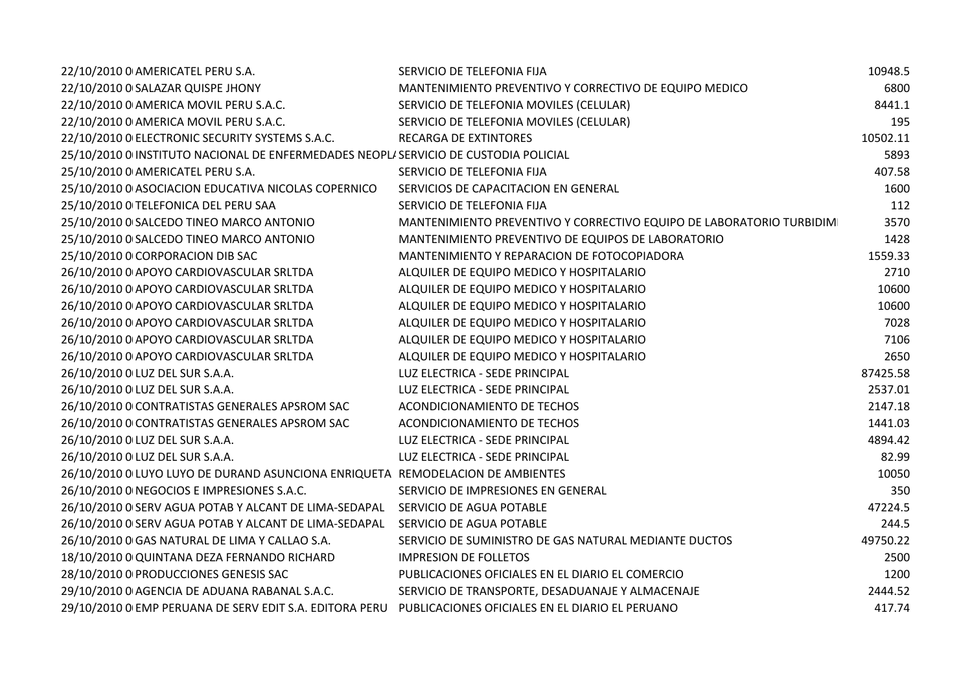| 22/10/2010 0 AMERICATEL PERU S.A.                                                    | SERVICIO DE TELEFONIA FIJA                                            | 10948.5  |
|--------------------------------------------------------------------------------------|-----------------------------------------------------------------------|----------|
| 22/10/2010 0 SALAZAR QUISPE JHONY                                                    | MANTENIMIENTO PREVENTIVO Y CORRECTIVO DE EQUIPO MEDICO                | 6800     |
| 22/10/2010 0 AMERICA MOVIL PERU S.A.C.                                               | SERVICIO DE TELEFONIA MOVILES (CELULAR)                               | 8441.1   |
| 22/10/2010 0 AMERICA MOVIL PERU S.A.C.                                               | SERVICIO DE TELEFONIA MOVILES (CELULAR)                               | 195      |
| 22/10/2010 O ELECTRONIC SECURITY SYSTEMS S.A.C.                                      | RECARGA DE EXTINTORES                                                 | 10502.11 |
| 25/10/2010 0 INSTITUTO NACIONAL DE ENFERMEDADES NEOPLI SERVICIO DE CUSTODIA POLICIAL |                                                                       | 5893     |
| 25/10/2010 0 AMERICATEL PERU S.A.                                                    | SERVICIO DE TELEFONIA FIJA                                            | 407.58   |
| 25/10/2010 0 ASOCIACION EDUCATIVA NICOLAS COPERNICO                                  | SERVICIOS DE CAPACITACION EN GENERAL                                  | 1600     |
| 25/10/2010 O TELEFONICA DEL PERU SAA                                                 | SERVICIO DE TELEFONIA FIJA                                            | 112      |
| 25/10/2010 0 SALCEDO TINEO MARCO ANTONIO                                             | MANTENIMIENTO PREVENTIVO Y CORRECTIVO EQUIPO DE LABORATORIO TURBIDIMI | 3570     |
| 25/10/2010 0 SALCEDO TINEO MARCO ANTONIO                                             | MANTENIMIENTO PREVENTIVO DE EQUIPOS DE LABORATORIO                    | 1428     |
| 25/10/2010 0 CORPORACION DIB SAC                                                     | MANTENIMIENTO Y REPARACION DE FOTOCOPIADORA                           | 1559.33  |
| 26/10/2010 0 APOYO CARDIOVASCULAR SRLTDA                                             | ALQUILER DE EQUIPO MEDICO Y HOSPITALARIO                              | 2710     |
| 26/10/2010 0 APOYO CARDIOVASCULAR SRLTDA                                             | ALQUILER DE EQUIPO MEDICO Y HOSPITALARIO                              | 10600    |
| 26/10/2010 0 APOYO CARDIOVASCULAR SRLTDA                                             | ALQUILER DE EQUIPO MEDICO Y HOSPITALARIO                              | 10600    |
| 26/10/2010 0 APOYO CARDIOVASCULAR SRLTDA                                             | ALQUILER DE EQUIPO MEDICO Y HOSPITALARIO                              | 7028     |
| 26/10/2010 0 APOYO CARDIOVASCULAR SRLTDA                                             | ALQUILER DE EQUIPO MEDICO Y HOSPITALARIO                              | 7106     |
| 26/10/2010 0 APOYO CARDIOVASCULAR SRLTDA                                             | ALQUILER DE EQUIPO MEDICO Y HOSPITALARIO                              | 2650     |
| 26/10/2010 0 LUZ DEL SUR S.A.A.                                                      | LUZ ELECTRICA - SEDE PRINCIPAL                                        | 87425.58 |
| 26/10/2010 0 LUZ DEL SUR S.A.A.                                                      | LUZ ELECTRICA - SEDE PRINCIPAL                                        | 2537.01  |
| 26/10/2010 0 CONTRATISTAS GENERALES APSROM SAC                                       | ACONDICIONAMIENTO DE TECHOS                                           | 2147.18  |
| 26/10/2010 0 CONTRATISTAS GENERALES APSROM SAC                                       | <b>ACONDICIONAMIENTO DE TECHOS</b>                                    | 1441.03  |
| 26/10/2010 0 LUZ DEL SUR S.A.A.                                                      | LUZ ELECTRICA - SEDE PRINCIPAL                                        | 4894.42  |
| 26/10/2010 0 LUZ DEL SUR S.A.A.                                                      | LUZ ELECTRICA - SEDE PRINCIPAL                                        | 82.99    |
| 26/10/2010 0 LUYO LUYO DE DURAND ASUNCIONA ENRIQUETA REMODELACION DE AMBIENTES       |                                                                       | 10050    |
| 26/10/2010 0 NEGOCIOS E IMPRESIONES S.A.C.                                           | SERVICIO DE IMPRESIONES EN GENERAL                                    | 350      |
| 26/10/2010 0 SERV AGUA POTAB Y ALCANT DE LIMA-SEDAPAL                                | SERVICIO DE AGUA POTABLE                                              | 47224.5  |
| 26/10/2010 0 SERV AGUA POTAB Y ALCANT DE LIMA-SEDAPAL                                | SERVICIO DE AGUA POTABLE                                              | 244.5    |
| 26/10/2010 0 GAS NATURAL DE LIMA Y CALLAO S.A.                                       | SERVICIO DE SUMINISTRO DE GAS NATURAL MEDIANTE DUCTOS                 | 49750.22 |
| 18/10/2010 0 QUINTANA DEZA FERNANDO RICHARD                                          | <b>IMPRESION DE FOLLETOS</b>                                          | 2500     |
| 28/10/2010 0 PRODUCCIONES GENESIS SAC                                                | PUBLICACIONES OFICIALES EN EL DIARIO EL COMERCIO                      | 1200     |
| 29/10/2010 0 AGENCIA DE ADUANA RABANAL S.A.C.                                        | SERVICIO DE TRANSPORTE, DESADUANAJE Y ALMACENAJE                      | 2444.52  |
| 29/10/2010 O EMP PERUANA DE SERV EDIT S.A. EDITORA PERU                              | PUBLICACIONES OFICIALES EN EL DIARIO EL PERUANO                       | 417.74   |
|                                                                                      |                                                                       |          |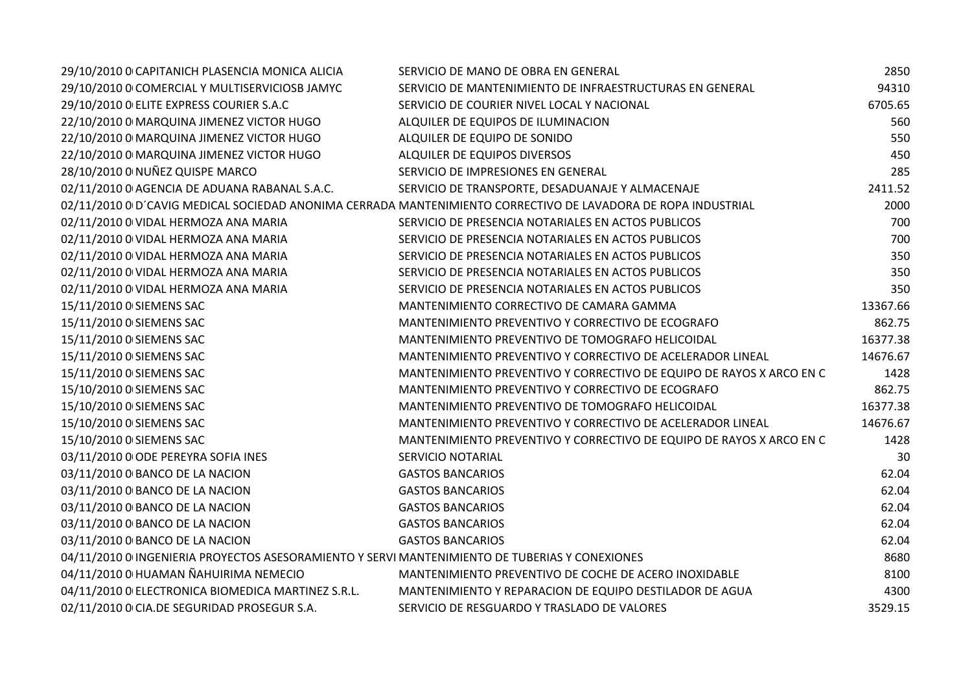| 29/10/2010 O CAPITANICH PLASENCIA MONICA ALICIA                                                | SERVICIO DE MANO DE OBRA EN GENERAL                                                                           | 2850     |
|------------------------------------------------------------------------------------------------|---------------------------------------------------------------------------------------------------------------|----------|
| 29/10/2010 0 COMERCIAL Y MULTISERVICIOSB JAMYC                                                 | SERVICIO DE MANTENIMIENTO DE INFRAESTRUCTURAS EN GENERAL                                                      | 94310    |
| 29/10/2010 O ELITE EXPRESS COURIER S.A.C                                                       | SERVICIO DE COURIER NIVEL LOCAL Y NACIONAL                                                                    | 6705.65  |
| 22/10/2010 0 MARQUINA JIMENEZ VICTOR HUGO                                                      | ALQUILER DE EQUIPOS DE ILUMINACION                                                                            | 560      |
| 22/10/2010 0 MARQUINA JIMENEZ VICTOR HUGO                                                      | ALQUILER DE EQUIPO DE SONIDO                                                                                  | 550      |
| 22/10/2010 0 MARQUINA JIMENEZ VICTOR HUGO                                                      | ALQUILER DE EQUIPOS DIVERSOS                                                                                  | 450      |
| 28/10/2010 0 NUÑEZ QUISPE MARCO                                                                | SERVICIO DE IMPRESIONES EN GENERAL                                                                            | 285      |
| 02/11/2010 0 AGENCIA DE ADUANA RABANAL S.A.C.                                                  | SERVICIO DE TRANSPORTE, DESADUANAJE Y ALMACENAJE                                                              | 2411.52  |
|                                                                                                | 02/11/2010 0 D'CAVIG MEDICAL SOCIEDAD ANONIMA CERRADA MANTENIMIENTO CORRECTIVO DE LAVADORA DE ROPA INDUSTRIAL | 2000     |
| 02/11/2010 0 VIDAL HERMOZA ANA MARIA                                                           | SERVICIO DE PRESENCIA NOTARIALES EN ACTOS PUBLICOS                                                            | 700      |
| 02/11/2010 0 VIDAL HERMOZA ANA MARIA                                                           | SERVICIO DE PRESENCIA NOTARIALES EN ACTOS PUBLICOS                                                            | 700      |
| 02/11/2010 0 VIDAL HERMOZA ANA MARIA                                                           | SERVICIO DE PRESENCIA NOTARIALES EN ACTOS PUBLICOS                                                            | 350      |
| 02/11/2010 0 VIDAL HERMOZA ANA MARIA                                                           | SERVICIO DE PRESENCIA NOTARIALES EN ACTOS PUBLICOS                                                            | 350      |
| 02/11/2010 0 VIDAL HERMOZA ANA MARIA                                                           | SERVICIO DE PRESENCIA NOTARIALES EN ACTOS PUBLICOS                                                            | 350      |
| 15/11/2010 0 SIEMENS SAC                                                                       | MANTENIMIENTO CORRECTIVO DE CAMARA GAMMA                                                                      | 13367.66 |
| 15/11/2010 0 SIEMENS SAC                                                                       | MANTENIMIENTO PREVENTIVO Y CORRECTIVO DE ECOGRAFO                                                             | 862.75   |
| 15/11/2010 0 SIEMENS SAC                                                                       | MANTENIMIENTO PREVENTIVO DE TOMOGRAFO HELICOIDAL                                                              | 16377.38 |
| 15/11/2010 0 SIEMENS SAC                                                                       | MANTENIMIENTO PREVENTIVO Y CORRECTIVO DE ACELERADOR LINEAL                                                    | 14676.67 |
| 15/11/2010 0 SIEMENS SAC                                                                       | MANTENIMIENTO PREVENTIVO Y CORRECTIVO DE EQUIPO DE RAYOS X ARCO EN C                                          | 1428     |
| 15/10/2010 0 SIEMENS SAC                                                                       | MANTENIMIENTO PREVENTIVO Y CORRECTIVO DE ECOGRAFO                                                             | 862.75   |
| 15/10/2010 0 SIEMENS SAC                                                                       | MANTENIMIENTO PREVENTIVO DE TOMOGRAFO HELICOIDAL                                                              | 16377.38 |
| 15/10/2010 0 SIEMENS SAC                                                                       | MANTENIMIENTO PREVENTIVO Y CORRECTIVO DE ACELERADOR LINEAL                                                    | 14676.67 |
| 15/10/2010 0 SIEMENS SAC                                                                       | MANTENIMIENTO PREVENTIVO Y CORRECTIVO DE EQUIPO DE RAYOS X ARCO EN C                                          | 1428     |
| 03/11/2010 0 ODE PEREYRA SOFIA INES                                                            | SERVICIO NOTARIAL                                                                                             | 30       |
| 03/11/2010 0 BANCO DE LA NACION                                                                | <b>GASTOS BANCARIOS</b>                                                                                       | 62.04    |
| 03/11/2010 0 BANCO DE LA NACION                                                                | <b>GASTOS BANCARIOS</b>                                                                                       | 62.04    |
| 03/11/2010 0 BANCO DE LA NACION                                                                | <b>GASTOS BANCARIOS</b>                                                                                       | 62.04    |
| 03/11/2010 0 BANCO DE LA NACION                                                                | <b>GASTOS BANCARIOS</b>                                                                                       | 62.04    |
| 03/11/2010 0 BANCO DE LA NACION                                                                | <b>GASTOS BANCARIOS</b>                                                                                       | 62.04    |
| 04/11/2010 0 INGENIERIA PROYECTOS ASESORAMIENTO Y SERVI MANTENIMIENTO DE TUBERIAS Y CONEXIONES |                                                                                                               | 8680     |
| 04/11/2010 0 HUAMAN ÑAHUIRIMA NEMECIO                                                          | MANTENIMIENTO PREVENTIVO DE COCHE DE ACERO INOXIDABLE                                                         | 8100     |
| 04/11/2010 0 ELECTRONICA BIOMEDICA MARTINEZ S.R.L.                                             | MANTENIMIENTO Y REPARACION DE EQUIPO DESTILADOR DE AGUA                                                       | 4300     |
| 02/11/2010 0 CIA.DE SEGURIDAD PROSEGUR S.A.                                                    | SERVICIO DE RESGUARDO Y TRASLADO DE VALORES                                                                   | 3529.15  |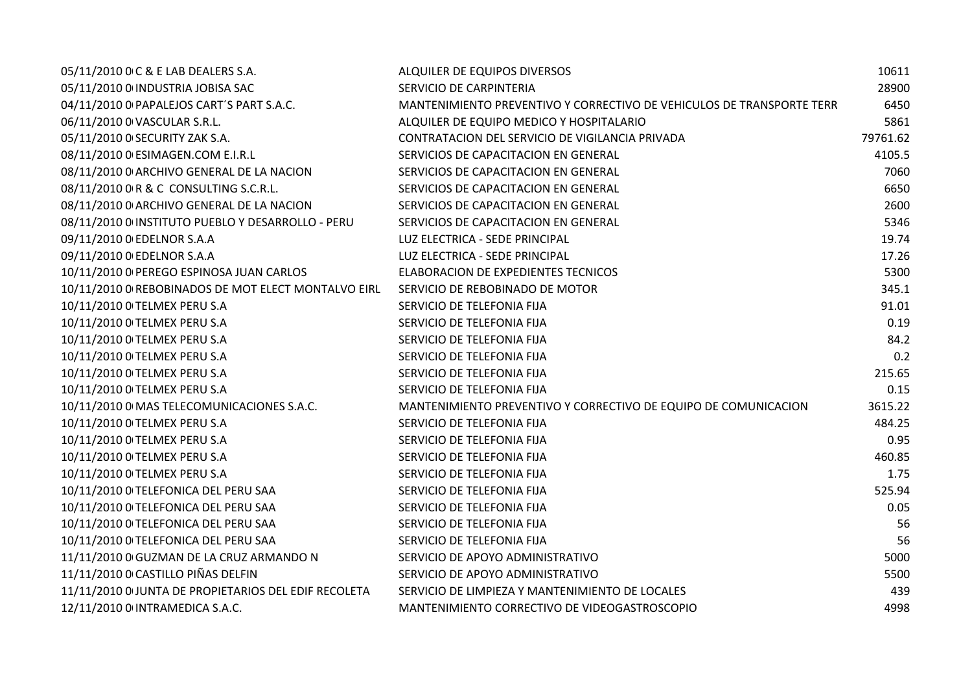| 05/11/2010 0 C & E LAB DEALERS S.A.                  | ALQUILER DE EQUIPOS DIVERSOS                                          | 10611    |
|------------------------------------------------------|-----------------------------------------------------------------------|----------|
| 05/11/2010 0 INDUSTRIA JOBISA SAC                    | SERVICIO DE CARPINTERIA                                               | 28900    |
| 04/11/2010 0 PAPALEJOS CART'S PART S.A.C.            | MANTENIMIENTO PREVENTIVO Y CORRECTIVO DE VEHICULOS DE TRANSPORTE TERR | 6450     |
| 06/11/2010 0 VASCULAR S.R.L.                         | ALQUILER DE EQUIPO MEDICO Y HOSPITALARIO                              | 5861     |
| 05/11/2010 0 SECURITY ZAK S.A.                       | CONTRATACION DEL SERVICIO DE VIGILANCIA PRIVADA                       | 79761.62 |
| 08/11/2010 0 ESIMAGEN.COM E.I.R.L                    | SERVICIOS DE CAPACITACION EN GENERAL                                  | 4105.5   |
| 08/11/2010 0 ARCHIVO GENERAL DE LA NACION            | SERVICIOS DE CAPACITACION EN GENERAL                                  | 7060     |
| 08/11/2010 0 R & C CONSULTING S.C.R.L.               | SERVICIOS DE CAPACITACION EN GENERAL                                  | 6650     |
| 08/11/2010 0 ARCHIVO GENERAL DE LA NACION            | SERVICIOS DE CAPACITACION EN GENERAL                                  | 2600     |
| 08/11/2010 0 INSTITUTO PUEBLO Y DESARROLLO - PERU    | SERVICIOS DE CAPACITACION EN GENERAL                                  | 5346     |
| 09/11/2010 0 EDELNOR S.A.A                           | LUZ ELECTRICA - SEDE PRINCIPAL                                        | 19.74    |
| 09/11/2010 0 EDELNOR S.A.A                           | LUZ ELECTRICA - SEDE PRINCIPAL                                        | 17.26    |
| 10/11/2010 0 PEREGO ESPINOSA JUAN CARLOS             | ELABORACION DE EXPEDIENTES TECNICOS                                   | 5300     |
| 10/11/2010 0 REBOBINADOS DE MOT ELECT MONTALVO EIRL  | SERVICIO DE REBOBINADO DE MOTOR                                       | 345.1    |
| 10/11/2010 0 TELMEX PERU S.A                         | SERVICIO DE TELEFONIA FIJA                                            | 91.01    |
| 10/11/2010 0 TELMEX PERU S.A                         | SERVICIO DE TELEFONIA FIJA                                            | 0.19     |
| 10/11/2010 O TELMEX PERU S.A                         | SERVICIO DE TELEFONIA FIJA                                            | 84.2     |
| 10/11/2010 O TELMEX PERU S.A                         | SERVICIO DE TELEFONIA FIJA                                            | 0.2      |
| 10/11/2010 0 TELMEX PERU S.A                         | SERVICIO DE TELEFONIA FIJA                                            | 215.65   |
| 10/11/2010 0 TELMEX PERU S.A                         | SERVICIO DE TELEFONIA FIJA                                            | 0.15     |
| 10/11/2010 0 MAS TELECOMUNICACIONES S.A.C.           | MANTENIMIENTO PREVENTIVO Y CORRECTIVO DE EQUIPO DE COMUNICACION       | 3615.22  |
| 10/11/2010 O TELMEX PERU S.A                         | SERVICIO DE TELEFONIA FIJA                                            | 484.25   |
| 10/11/2010 O TELMEX PERU S.A                         | SERVICIO DE TELEFONIA FIJA                                            | 0.95     |
| 10/11/2010 O TELMEX PERU S.A                         | SERVICIO DE TELEFONIA FIJA                                            | 460.85   |
| 10/11/2010 O TELMEX PERU S.A                         | SERVICIO DE TELEFONIA FIJA                                            | 1.75     |
| 10/11/2010 O TELEFONICA DEL PERU SAA                 | SERVICIO DE TELEFONIA FIJA                                            | 525.94   |
| 10/11/2010 O TELEFONICA DEL PERU SAA                 | SERVICIO DE TELEFONIA FIJA                                            | 0.05     |
| 10/11/2010 O TELEFONICA DEL PERU SAA                 | SERVICIO DE TELEFONIA FIJA                                            | 56       |
| 10/11/2010 O TELEFONICA DEL PERU SAA                 | SERVICIO DE TELEFONIA FIJA                                            | 56       |
| 11/11/2010 0 GUZMAN DE LA CRUZ ARMANDO N             | SERVICIO DE APOYO ADMINISTRATIVO                                      | 5000     |
| 11/11/2010 0 CASTILLO PIÑAS DELFIN                   | SERVICIO DE APOYO ADMINISTRATIVO                                      | 5500     |
| 11/11/2010 O JUNTA DE PROPIETARIOS DEL EDIF RECOLETA | SERVICIO DE LIMPIEZA Y MANTENIMIENTO DE LOCALES                       | 439      |
| 12/11/2010 0 INTRAMEDICA S.A.C.                      | MANTENIMIENTO CORRECTIVO DE VIDEOGASTROSCOPIO                         | 4998     |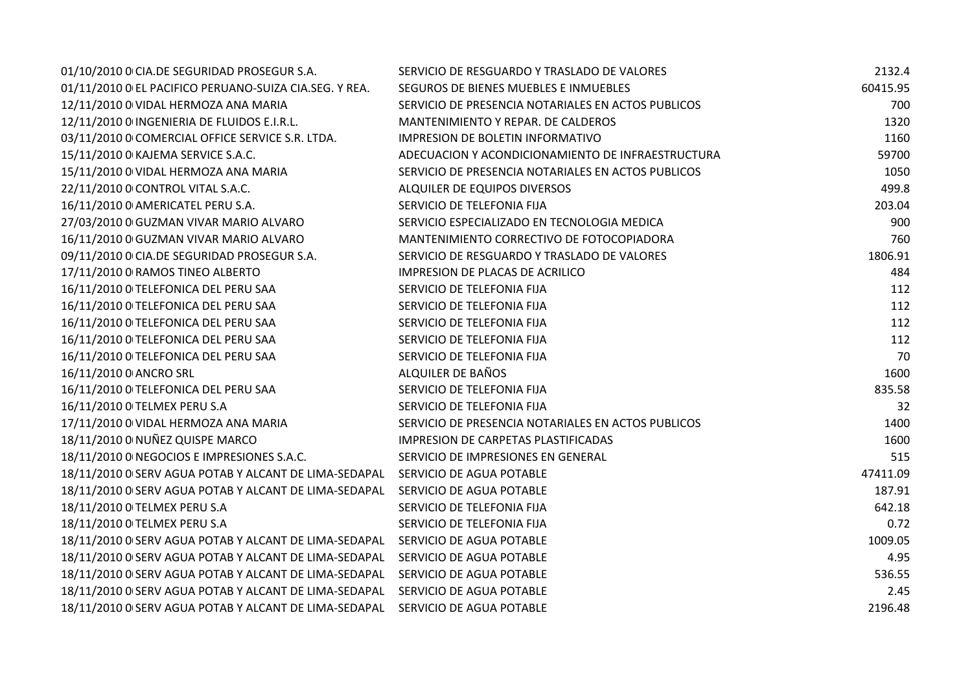| 01/10/2010 0 CIA.DE SEGURIDAD PROSEGUR S.A.            | SERVICIO DE RESGUARDO Y TRASLADO DE VALORES        | 2132.4   |
|--------------------------------------------------------|----------------------------------------------------|----------|
| 01/11/2010 O EL PACIFICO PERUANO-SUIZA CIA.SEG. Y REA. | SEGUROS DE BIENES MUEBLES E INMUEBLES              | 60415.95 |
| 12/11/2010 0 VIDAL HERMOZA ANA MARIA                   | SERVICIO DE PRESENCIA NOTARIALES EN ACTOS PUBLICOS | 700      |
| 12/11/2010 0 INGENIERIA DE FLUIDOS E.I.R.L.            | MANTENIMIENTO Y REPAR. DE CALDEROS                 | 1320     |
| 03/11/2010 0 COMERCIAL OFFICE SERVICE S.R. LTDA.       | <b>IMPRESION DE BOLETIN INFORMATIVO</b>            | 1160     |
| 15/11/2010 0 KAJEMA SERVICE S.A.C.                     | ADECUACION Y ACONDICIONAMIENTO DE INFRAESTRUCTURA  | 59700    |
| 15/11/2010 0 VIDAL HERMOZA ANA MARIA                   | SERVICIO DE PRESENCIA NOTARIALES EN ACTOS PUBLICOS | 1050     |
| 22/11/2010 0 CONTROL VITAL S.A.C.                      | ALQUILER DE EQUIPOS DIVERSOS                       | 499.8    |
| 16/11/2010 0 AMERICATEL PERU S.A.                      | SERVICIO DE TELEFONIA FIJA                         | 203.04   |
| 27/03/2010 0 GUZMAN VIVAR MARIO ALVARO                 | SERVICIO ESPECIALIZADO EN TECNOLOGIA MEDICA        | 900      |
| 16/11/2010 0 GUZMAN VIVAR MARIO ALVARO                 | MANTENIMIENTO CORRECTIVO DE FOTOCOPIADORA          | 760      |
| 09/11/2010 0 CIA.DE SEGURIDAD PROSEGUR S.A.            | SERVICIO DE RESGUARDO Y TRASLADO DE VALORES        | 1806.91  |
| 17/11/2010 0 RAMOS TINEO ALBERTO                       | IMPRESION DE PLACAS DE ACRILICO                    | 484      |
| 16/11/2010 O TELEFONICA DEL PERU SAA                   | SERVICIO DE TELEFONIA FIJA                         | 112      |
| 16/11/2010 O TELEFONICA DEL PERU SAA                   | SERVICIO DE TELEFONIA FIJA                         | 112      |
| 16/11/2010 O TELEFONICA DEL PERU SAA                   | SERVICIO DE TELEFONIA FIJA                         | 112      |
| 16/11/2010 O TELEFONICA DEL PERU SAA                   | SERVICIO DE TELEFONIA FIJA                         | 112      |
| 16/11/2010 O TELEFONICA DEL PERU SAA                   | SERVICIO DE TELEFONIA FIJA                         | 70       |
| 16/11/2010 0 ANCRO SRL                                 | ALQUILER DE BAÑOS                                  | 1600     |
| 16/11/2010 O TELEFONICA DEL PERU SAA                   | SERVICIO DE TELEFONIA FIJA                         | 835.58   |
| 16/11/2010 O TELMEX PERU S.A                           | SERVICIO DE TELEFONIA FIJA                         | 32       |
| 17/11/2010 0 VIDAL HERMOZA ANA MARIA                   | SERVICIO DE PRESENCIA NOTARIALES EN ACTOS PUBLICOS | 1400     |
| 18/11/2010 0 NUÑEZ QUISPE MARCO                        | IMPRESION DE CARPETAS PLASTIFICADAS                | 1600     |
| 18/11/2010 O NEGOCIOS E IMPRESIONES S.A.C.             | SERVICIO DE IMPRESIONES EN GENERAL                 | 515      |
| 18/11/2010 0 SERV AGUA POTAB Y ALCANT DE LIMA-SEDAPAL  | SERVICIO DE AGUA POTABLE                           | 47411.09 |
| 18/11/2010 0 SERV AGUA POTAB Y ALCANT DE LIMA-SEDAPAL  | SERVICIO DE AGUA POTABLE                           | 187.91   |
| 18/11/2010 O TELMEX PERU S.A                           | SERVICIO DE TELEFONIA FIJA                         | 642.18   |
| 18/11/2010 O TELMEX PERU S.A                           | SERVICIO DE TELEFONIA FIJA                         | 0.72     |
| 18/11/2010 0 SERV AGUA POTAB Y ALCANT DE LIMA-SEDAPAL  | SERVICIO DE AGUA POTABLE                           | 1009.05  |
| 18/11/2010 0 SERV AGUA POTAB Y ALCANT DE LIMA-SEDAPAL  | SERVICIO DE AGUA POTABLE                           | 4.95     |
| 18/11/2010 0 SERV AGUA POTAB Y ALCANT DE LIMA-SEDAPAL  | SERVICIO DE AGUA POTABLE                           | 536.55   |
| 18/11/2010 O SERV AGUA POTAB Y ALCANT DE LIMA-SEDAPAL  | SERVICIO DE AGUA POTABLE                           | 2.45     |
| 18/11/2010 0 SERV AGUA POTAB Y ALCANT DE LIMA-SEDAPAL  | SERVICIO DE AGUA POTABLE                           | 2196.48  |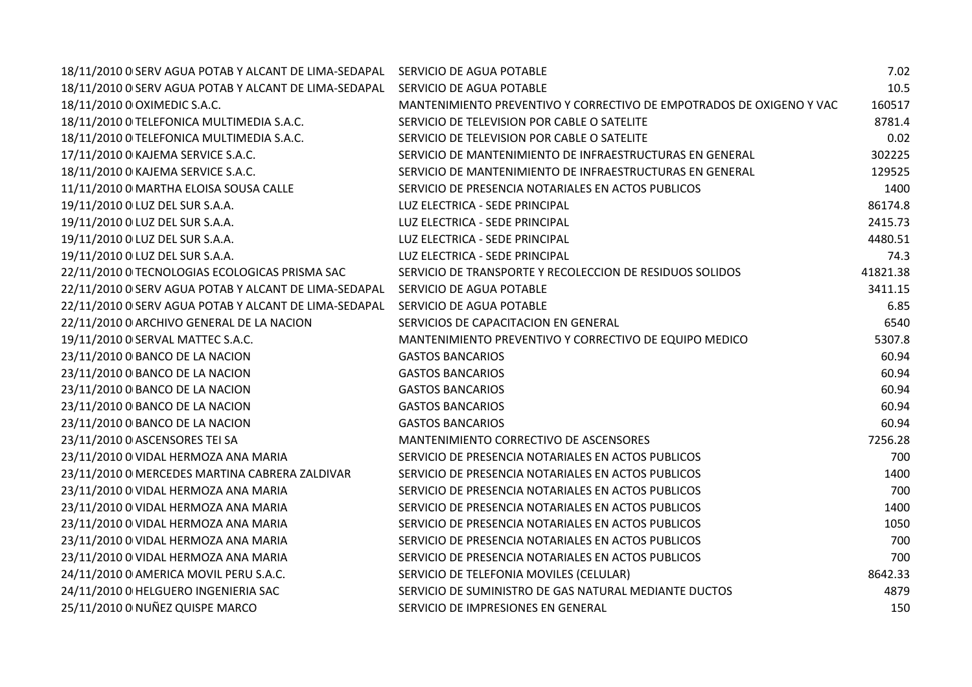| 18/11/2010 0 SERV AGUA POTAB Y ALCANT DE LIMA-SEDAPAL | SERVICIO DE AGUA POTABLE                                             | 7.02     |
|-------------------------------------------------------|----------------------------------------------------------------------|----------|
| 18/11/2010 0 SERV AGUA POTAB Y ALCANT DE LIMA-SEDAPAL | SERVICIO DE AGUA POTABLE                                             | 10.5     |
| 18/11/2010 0 OXIMEDIC S.A.C.                          | MANTENIMIENTO PREVENTIVO Y CORRECTIVO DE EMPOTRADOS DE OXIGENO Y VAC | 160517   |
| 18/11/2010 O TELEFONICA MULTIMEDIA S.A.C.             | SERVICIO DE TELEVISION POR CABLE O SATELITE                          | 8781.4   |
| 18/11/2010 O TELEFONICA MULTIMEDIA S.A.C.             | SERVICIO DE TELEVISION POR CABLE O SATELITE                          | 0.02     |
| 17/11/2010 0 KAJEMA SERVICE S.A.C.                    | SERVICIO DE MANTENIMIENTO DE INFRAESTRUCTURAS EN GENERAL             | 302225   |
| 18/11/2010 0 KAJEMA SERVICE S.A.C.                    | SERVICIO DE MANTENIMIENTO DE INFRAESTRUCTURAS EN GENERAL             | 129525   |
| 11/11/2010 0 MARTHA ELOISA SOUSA CALLE                | SERVICIO DE PRESENCIA NOTARIALES EN ACTOS PUBLICOS                   | 1400     |
| 19/11/2010 0 LUZ DEL SUR S.A.A.                       | LUZ ELECTRICA - SEDE PRINCIPAL                                       | 86174.8  |
| 19/11/2010 0 LUZ DEL SUR S.A.A.                       | LUZ ELECTRICA - SEDE PRINCIPAL                                       | 2415.73  |
| 19/11/2010 0 LUZ DEL SUR S.A.A.                       | LUZ ELECTRICA - SEDE PRINCIPAL                                       | 4480.51  |
| 19/11/2010 0 LUZ DEL SUR S.A.A.                       | LUZ ELECTRICA - SEDE PRINCIPAL                                       | 74.3     |
| 22/11/2010 O TECNOLOGIAS ECOLOGICAS PRISMA SAC        | SERVICIO DE TRANSPORTE Y RECOLECCION DE RESIDUOS SOLIDOS             | 41821.38 |
| 22/11/2010 O SERV AGUA POTAB Y ALCANT DE LIMA-SEDAPAL | SERVICIO DE AGUA POTABLE                                             | 3411.15  |
| 22/11/2010 0 SERV AGUA POTAB Y ALCANT DE LIMA-SEDAPAL | SERVICIO DE AGUA POTABLE                                             | 6.85     |
| 22/11/2010 0 ARCHIVO GENERAL DE LA NACION             | SERVICIOS DE CAPACITACION EN GENERAL                                 | 6540     |
| 19/11/2010 0 SERVAL MATTEC S.A.C.                     | MANTENIMIENTO PREVENTIVO Y CORRECTIVO DE EQUIPO MEDICO               | 5307.8   |
| 23/11/2010 0 BANCO DE LA NACION                       | <b>GASTOS BANCARIOS</b>                                              | 60.94    |
| 23/11/2010 0 BANCO DE LA NACION                       | <b>GASTOS BANCARIOS</b>                                              | 60.94    |
| 23/11/2010 0 BANCO DE LA NACION                       | <b>GASTOS BANCARIOS</b>                                              | 60.94    |
| 23/11/2010 0 BANCO DE LA NACION                       | <b>GASTOS BANCARIOS</b>                                              | 60.94    |
| 23/11/2010 0 BANCO DE LA NACION                       | <b>GASTOS BANCARIOS</b>                                              | 60.94    |
| 23/11/2010 0 ASCENSORES TEI SA                        | MANTENIMIENTO CORRECTIVO DE ASCENSORES                               | 7256.28  |
| 23/11/2010 0 VIDAL HERMOZA ANA MARIA                  | SERVICIO DE PRESENCIA NOTARIALES EN ACTOS PUBLICOS                   | 700      |
| 23/11/2010 0 MERCEDES MARTINA CABRERA ZALDIVAR        | SERVICIO DE PRESENCIA NOTARIALES EN ACTOS PUBLICOS                   | 1400     |
| 23/11/2010 0 VIDAL HERMOZA ANA MARIA                  | SERVICIO DE PRESENCIA NOTARIALES EN ACTOS PUBLICOS                   | 700      |
| 23/11/2010 0 VIDAL HERMOZA ANA MARIA                  | SERVICIO DE PRESENCIA NOTARIALES EN ACTOS PUBLICOS                   | 1400     |
| 23/11/2010 0 VIDAL HERMOZA ANA MARIA                  | SERVICIO DE PRESENCIA NOTARIALES EN ACTOS PUBLICOS                   | 1050     |
| 23/11/2010 0 VIDAL HERMOZA ANA MARIA                  | SERVICIO DE PRESENCIA NOTARIALES EN ACTOS PUBLICOS                   | 700      |
| 23/11/2010 0 VIDAL HERMOZA ANA MARIA                  | SERVICIO DE PRESENCIA NOTARIALES EN ACTOS PUBLICOS                   | 700      |
| 24/11/2010 0 AMERICA MOVIL PERU S.A.C.                | SERVICIO DE TELEFONIA MOVILES (CELULAR)                              | 8642.33  |
| 24/11/2010 0 HELGUERO INGENIERIA SAC                  | SERVICIO DE SUMINISTRO DE GAS NATURAL MEDIANTE DUCTOS                | 4879     |
| 25/11/2010 0 NUÑEZ QUISPE MARCO                       | SERVICIO DE IMPRESIONES EN GENERAL                                   | 150      |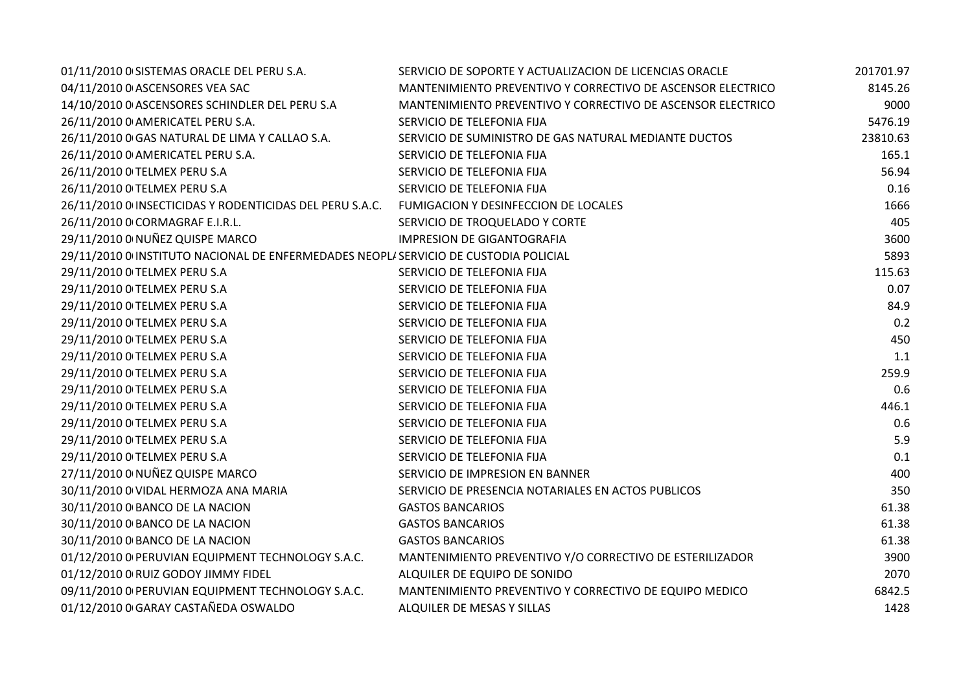| 01/11/2010 0 SISTEMAS ORACLE DEL PERU S.A.                                           | SERVICIO DE SOPORTE Y ACTUALIZACION DE LICENCIAS ORACLE     | 201701.97 |
|--------------------------------------------------------------------------------------|-------------------------------------------------------------|-----------|
| 04/11/2010 0 ASCENSORES VEA SAC                                                      | MANTENIMIENTO PREVENTIVO Y CORRECTIVO DE ASCENSOR ELECTRICO | 8145.26   |
| 14/10/2010 0 ASCENSORES SCHINDLER DEL PERU S.A                                       | MANTENIMIENTO PREVENTIVO Y CORRECTIVO DE ASCENSOR ELECTRICO | 9000      |
| 26/11/2010 0 AMERICATEL PERU S.A.                                                    | SERVICIO DE TELEFONIA FIJA                                  | 5476.19   |
| 26/11/2010 0 GAS NATURAL DE LIMA Y CALLAO S.A.                                       | SERVICIO DE SUMINISTRO DE GAS NATURAL MEDIANTE DUCTOS       | 23810.63  |
| 26/11/2010 0 AMERICATEL PERU S.A.                                                    | SERVICIO DE TELEFONIA FIJA                                  | 165.1     |
| 26/11/2010 O TELMEX PERU S.A                                                         | SERVICIO DE TELEFONIA FIJA                                  | 56.94     |
| 26/11/2010 O TELMEX PERU S.A                                                         | SERVICIO DE TELEFONIA FIJA                                  | 0.16      |
| 26/11/2010 0 INSECTICIDAS Y RODENTICIDAS DEL PERU S.A.C.                             | FUMIGACION Y DESINFECCION DE LOCALES                        | 1666      |
| 26/11/2010 0 CORMAGRAF E.I.R.L.                                                      | SERVICIO DE TROQUELADO Y CORTE                              | 405       |
| 29/11/2010 0 NUÑEZ QUISPE MARCO                                                      | <b>IMPRESION DE GIGANTOGRAFIA</b>                           | 3600      |
| 29/11/2010 0 INSTITUTO NACIONAL DE ENFERMEDADES NEOPLI SERVICIO DE CUSTODIA POLICIAL |                                                             | 5893      |
| 29/11/2010 O TELMEX PERU S.A                                                         | SERVICIO DE TELEFONIA FIJA                                  | 115.63    |
| 29/11/2010 0 TELMEX PERU S.A                                                         | SERVICIO DE TELEFONIA FIJA                                  | 0.07      |
| 29/11/2010 O TELMEX PERU S.A                                                         | SERVICIO DE TELEFONIA FIJA                                  | 84.9      |
| 29/11/2010 O TELMEX PERU S.A                                                         | SERVICIO DE TELEFONIA FIJA                                  | 0.2       |
| 29/11/2010 O TELMEX PERU S.A                                                         | SERVICIO DE TELEFONIA FIJA                                  | 450       |
| 29/11/2010 O TELMEX PERU S.A                                                         | SERVICIO DE TELEFONIA FIJA                                  | 1.1       |
| 29/11/2010 O TELMEX PERU S.A                                                         | SERVICIO DE TELEFONIA FIJA                                  | 259.9     |
| 29/11/2010 O TELMEX PERU S.A                                                         | SERVICIO DE TELEFONIA FIJA                                  | 0.6       |
| 29/11/2010 O TELMEX PERU S.A                                                         | SERVICIO DE TELEFONIA FIJA                                  | 446.1     |
| 29/11/2010 O TELMEX PERU S.A                                                         | SERVICIO DE TELEFONIA FIJA                                  | 0.6       |
| 29/11/2010 0 TELMEX PERU S.A                                                         | SERVICIO DE TELEFONIA FIJA                                  | 5.9       |
| 29/11/2010 0 TELMEX PERU S.A                                                         | SERVICIO DE TELEFONIA FIJA                                  | 0.1       |
| 27/11/2010 0 NUÑEZ QUISPE MARCO                                                      | SERVICIO DE IMPRESION EN BANNER                             | 400       |
| 30/11/2010 0 VIDAL HERMOZA ANA MARIA                                                 | SERVICIO DE PRESENCIA NOTARIALES EN ACTOS PUBLICOS          | 350       |
| 30/11/2010 0 BANCO DE LA NACION                                                      | <b>GASTOS BANCARIOS</b>                                     | 61.38     |
| 30/11/2010 0 BANCO DE LA NACION                                                      | <b>GASTOS BANCARIOS</b>                                     | 61.38     |
| 30/11/2010 0 BANCO DE LA NACION                                                      | <b>GASTOS BANCARIOS</b>                                     | 61.38     |
| 01/12/2010 0 PERUVIAN EQUIPMENT TECHNOLOGY S.A.C.                                    | MANTENIMIENTO PREVENTIVO Y/O CORRECTIVO DE ESTERILIZADOR    | 3900      |
| 01/12/2010 0 RUIZ GODOY JIMMY FIDEL                                                  | ALQUILER DE EQUIPO DE SONIDO                                | 2070      |
| 09/11/2010 0 PERUVIAN EQUIPMENT TECHNOLOGY S.A.C.                                    | MANTENIMIENTO PREVENTIVO Y CORRECTIVO DE EQUIPO MEDICO      | 6842.5    |
| 01/12/2010 0 GARAY CASTAÑEDA OSWALDO                                                 | ALQUILER DE MESAS Y SILLAS                                  | 1428      |
|                                                                                      |                                                             |           |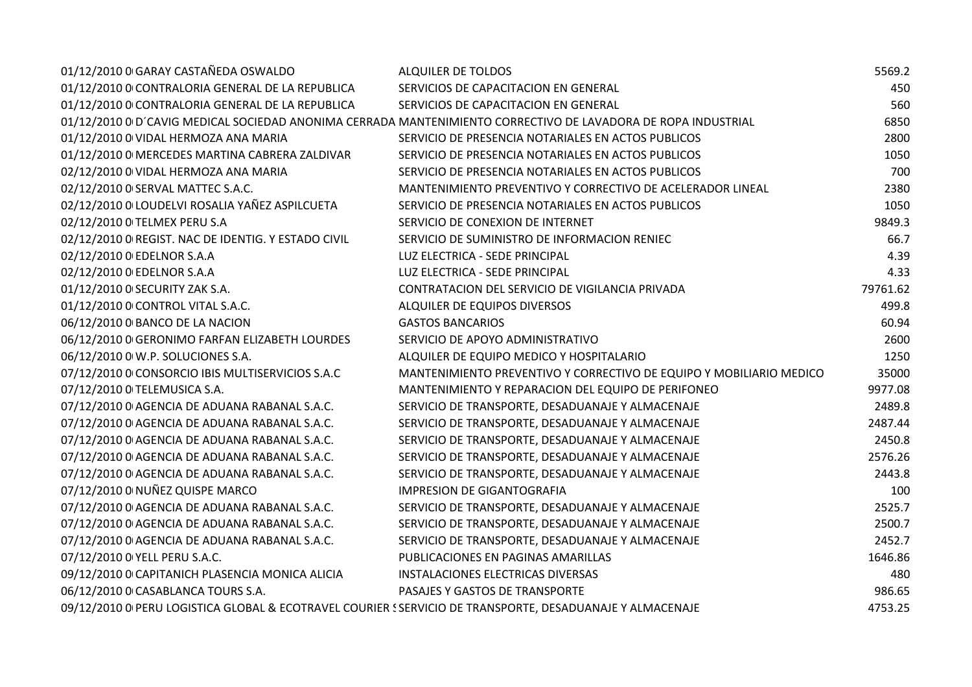| 01/12/2010 0 GARAY CASTAÑEDA OSWALDO                                                                     | ALQUILER DE TOLDOS                                                                                            | 5569.2   |
|----------------------------------------------------------------------------------------------------------|---------------------------------------------------------------------------------------------------------------|----------|
| 01/12/2010 0 CONTRALORIA GENERAL DE LA REPUBLICA                                                         | SERVICIOS DE CAPACITACION EN GENERAL                                                                          | 450      |
| 01/12/2010 O CONTRALORIA GENERAL DE LA REPUBLICA                                                         | SERVICIOS DE CAPACITACION EN GENERAL                                                                          | 560      |
|                                                                                                          | 01/12/2010 0 D'CAVIG MEDICAL SOCIEDAD ANONIMA CERRADA MANTENIMIENTO CORRECTIVO DE LAVADORA DE ROPA INDUSTRIAL | 6850     |
| 01/12/2010 0 VIDAL HERMOZA ANA MARIA                                                                     | SERVICIO DE PRESENCIA NOTARIALES EN ACTOS PUBLICOS                                                            | 2800     |
| 01/12/2010 0 MERCEDES MARTINA CABRERA ZALDIVAR                                                           | SERVICIO DE PRESENCIA NOTARIALES EN ACTOS PUBLICOS                                                            | 1050     |
| 02/12/2010 0 VIDAL HERMOZA ANA MARIA                                                                     | SERVICIO DE PRESENCIA NOTARIALES EN ACTOS PUBLICOS                                                            | 700      |
| 02/12/2010 0 SERVAL MATTEC S.A.C.                                                                        | MANTENIMIENTO PREVENTIVO Y CORRECTIVO DE ACELERADOR LINEAL                                                    | 2380     |
| 02/12/2010 0 LOUDELVI ROSALIA YAÑEZ ASPILCUETA                                                           | SERVICIO DE PRESENCIA NOTARIALES EN ACTOS PUBLICOS                                                            | 1050     |
| 02/12/2010 0 TELMEX PERU S.A                                                                             | SERVICIO DE CONEXION DE INTERNET                                                                              | 9849.3   |
| 02/12/2010 0 REGIST. NAC DE IDENTIG. Y ESTADO CIVIL                                                      | SERVICIO DE SUMINISTRO DE INFORMACION RENIEC                                                                  | 66.7     |
| 02/12/2010 0 EDELNOR S.A.A                                                                               | LUZ ELECTRICA - SEDE PRINCIPAL                                                                                | 4.39     |
| 02/12/2010 0 EDELNOR S.A.A                                                                               | LUZ ELECTRICA - SEDE PRINCIPAL                                                                                | 4.33     |
| 01/12/2010 0 SECURITY ZAK S.A.                                                                           | CONTRATACION DEL SERVICIO DE VIGILANCIA PRIVADA                                                               | 79761.62 |
| 01/12/2010 0 CONTROL VITAL S.A.C.                                                                        | ALQUILER DE EQUIPOS DIVERSOS                                                                                  | 499.8    |
| 06/12/2010 0 BANCO DE LA NACION                                                                          | <b>GASTOS BANCARIOS</b>                                                                                       | 60.94    |
| 06/12/2010 0 GERONIMO FARFAN ELIZABETH LOURDES                                                           | SERVICIO DE APOYO ADMINISTRATIVO                                                                              | 2600     |
| 06/12/2010 0 W.P. SOLUCIONES S.A.                                                                        | ALQUILER DE EQUIPO MEDICO Y HOSPITALARIO                                                                      | 1250     |
| 07/12/2010 0 CONSORCIO IBIS MULTISERVICIOS S.A.C                                                         | MANTENIMIENTO PREVENTIVO Y CORRECTIVO DE EQUIPO Y MOBILIARIO MEDICO                                           | 35000    |
| 07/12/2010 0 TELEMUSICA S.A.                                                                             | MANTENIMIENTO Y REPARACION DEL EQUIPO DE PERIFONEO                                                            | 9977.08  |
| 07/12/2010 0 AGENCIA DE ADUANA RABANAL S.A.C.                                                            | SERVICIO DE TRANSPORTE, DESADUANAJE Y ALMACENAJE                                                              | 2489.8   |
| 07/12/2010 0 AGENCIA DE ADUANA RABANAL S.A.C.                                                            | SERVICIO DE TRANSPORTE, DESADUANAJE Y ALMACENAJE                                                              | 2487.44  |
| 07/12/2010 0 AGENCIA DE ADUANA RABANAL S.A.C.                                                            | SERVICIO DE TRANSPORTE, DESADUANAJE Y ALMACENAJE                                                              | 2450.8   |
| 07/12/2010 0 AGENCIA DE ADUANA RABANAL S.A.C.                                                            | SERVICIO DE TRANSPORTE, DESADUANAJE Y ALMACENAJE                                                              | 2576.26  |
| 07/12/2010 0 AGENCIA DE ADUANA RABANAL S.A.C.                                                            | SERVICIO DE TRANSPORTE, DESADUANAJE Y ALMACENAJE                                                              | 2443.8   |
| 07/12/2010 0 NUÑEZ QUISPE MARCO                                                                          | <b>IMPRESION DE GIGANTOGRAFIA</b>                                                                             | 100      |
| 07/12/2010 0 AGENCIA DE ADUANA RABANAL S.A.C.                                                            | SERVICIO DE TRANSPORTE, DESADUANAJE Y ALMACENAJE                                                              | 2525.7   |
| 07/12/2010 0 AGENCIA DE ADUANA RABANAL S.A.C.                                                            | SERVICIO DE TRANSPORTE, DESADUANAJE Y ALMACENAJE                                                              | 2500.7   |
| 07/12/2010 0 AGENCIA DE ADUANA RABANAL S.A.C.                                                            | SERVICIO DE TRANSPORTE, DESADUANAJE Y ALMACENAJE                                                              | 2452.7   |
| 07/12/2010 0 YELL PERU S.A.C.                                                                            | PUBLICACIONES EN PAGINAS AMARILLAS                                                                            | 1646.86  |
| 09/12/2010 0 CAPITANICH PLASENCIA MONICA ALICIA                                                          | INSTALACIONES ELECTRICAS DIVERSAS                                                                             | 480      |
| 06/12/2010 0 CASABLANCA TOURS S.A.                                                                       | PASAJES Y GASTOS DE TRANSPORTE                                                                                | 986.65   |
| 09/12/2010 0 PERU LOGISTICA GLOBAL & ECOTRAVEL COURIER SSERVICIO DE TRANSPORTE, DESADUANAJE Y ALMACENAJE |                                                                                                               | 4753.25  |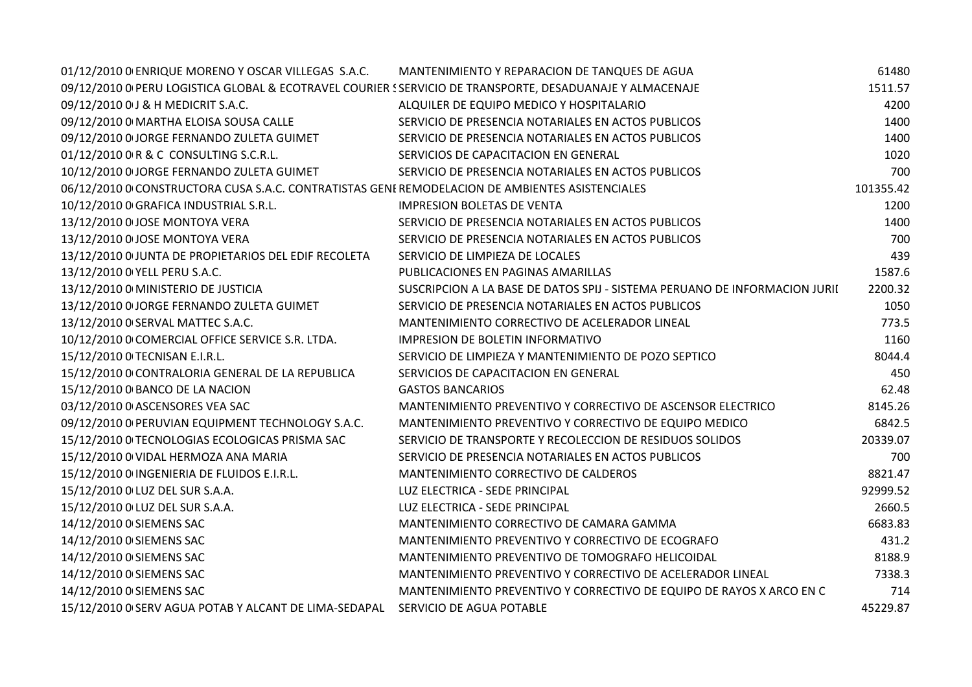| 01/12/2010 0 ENRIQUE MORENO Y OSCAR VILLEGAS S.A.C.                                                      | MANTENIMIENTO Y REPARACION DE TANQUES DE AGUA                              | 61480     |
|----------------------------------------------------------------------------------------------------------|----------------------------------------------------------------------------|-----------|
| 09/12/2010 0 PERU LOGISTICA GLOBAL & ECOTRAVEL COURIER SSERVICIO DE TRANSPORTE, DESADUANAJE Y ALMACENAJE |                                                                            | 1511.57   |
| 09/12/2010 0 J & H MEDICRIT S.A.C.                                                                       | ALQUILER DE EQUIPO MEDICO Y HOSPITALARIO                                   | 4200      |
| 09/12/2010 0 MARTHA ELOISA SOUSA CALLE                                                                   | SERVICIO DE PRESENCIA NOTARIALES EN ACTOS PUBLICOS                         | 1400      |
| 09/12/2010 0 JORGE FERNANDO ZULETA GUIMET                                                                | SERVICIO DE PRESENCIA NOTARIALES EN ACTOS PUBLICOS                         | 1400      |
| 01/12/2010 0 R & C CONSULTING S.C.R.L.                                                                   | SERVICIOS DE CAPACITACION EN GENERAL                                       | 1020      |
| 10/12/2010 0 JORGE FERNANDO ZULETA GUIMET                                                                | SERVICIO DE PRESENCIA NOTARIALES EN ACTOS PUBLICOS                         | 700       |
| 06/12/2010 0 CONSTRUCTORA CUSA S.A.C. CONTRATISTAS GENEREMODELACION DE AMBIENTES ASISTENCIALES           |                                                                            | 101355.42 |
| 10/12/2010 0 GRAFICA INDUSTRIAL S.R.L.                                                                   | <b>IMPRESION BOLETAS DE VENTA</b>                                          | 1200      |
| 13/12/2010 0 JOSE MONTOYA VERA                                                                           | SERVICIO DE PRESENCIA NOTARIALES EN ACTOS PUBLICOS                         | 1400      |
| 13/12/2010 0 JOSE MONTOYA VERA                                                                           | SERVICIO DE PRESENCIA NOTARIALES EN ACTOS PUBLICOS                         | 700       |
| 13/12/2010 O JUNTA DE PROPIETARIOS DEL EDIF RECOLETA                                                     | SERVICIO DE LIMPIEZA DE LOCALES                                            | 439       |
| 13/12/2010 0 YELL PERU S.A.C.                                                                            | PUBLICACIONES EN PAGINAS AMARILLAS                                         | 1587.6    |
| 13/12/2010 0 MINISTERIO DE JUSTICIA                                                                      | SUSCRIPCION A LA BASE DE DATOS SPIJ - SISTEMA PERUANO DE INFORMACION JURII | 2200.32   |
| 13/12/2010 0 JORGE FERNANDO ZULETA GUIMET                                                                | SERVICIO DE PRESENCIA NOTARIALES EN ACTOS PUBLICOS                         | 1050      |
| 13/12/2010 0 SERVAL MATTEC S.A.C.                                                                        | MANTENIMIENTO CORRECTIVO DE ACELERADOR LINEAL                              | 773.5     |
| 10/12/2010 0 COMERCIAL OFFICE SERVICE S.R. LTDA.                                                         | <b>IMPRESION DE BOLETIN INFORMATIVO</b>                                    | 1160      |
| 15/12/2010 O TECNISAN E.I.R.L.                                                                           | SERVICIO DE LIMPIEZA Y MANTENIMIENTO DE POZO SEPTICO                       | 8044.4    |
| 15/12/2010 O CONTRALORIA GENERAL DE LA REPUBLICA                                                         | SERVICIOS DE CAPACITACION EN GENERAL                                       | 450       |
| 15/12/2010 0 BANCO DE LA NACION                                                                          | <b>GASTOS BANCARIOS</b>                                                    | 62.48     |
| 03/12/2010 0 ASCENSORES VEA SAC                                                                          | MANTENIMIENTO PREVENTIVO Y CORRECTIVO DE ASCENSOR ELECTRICO                | 8145.26   |
| 09/12/2010 0 PERUVIAN EQUIPMENT TECHNOLOGY S.A.C.                                                        | MANTENIMIENTO PREVENTIVO Y CORRECTIVO DE EQUIPO MEDICO                     | 6842.5    |
| 15/12/2010 0 TECNOLOGIAS ECOLOGICAS PRISMA SAC                                                           | SERVICIO DE TRANSPORTE Y RECOLECCION DE RESIDUOS SOLIDOS                   | 20339.07  |
| 15/12/2010 0 VIDAL HERMOZA ANA MARIA                                                                     | SERVICIO DE PRESENCIA NOTARIALES EN ACTOS PUBLICOS                         | 700       |
| 15/12/2010 O INGENIERIA DE FLUIDOS E.I.R.L.                                                              | MANTENIMIENTO CORRECTIVO DE CALDEROS                                       | 8821.47   |
| 15/12/2010 0 LUZ DEL SUR S.A.A.                                                                          | LUZ ELECTRICA - SEDE PRINCIPAL                                             | 92999.52  |
| 15/12/2010 0 LUZ DEL SUR S.A.A.                                                                          | LUZ ELECTRICA - SEDE PRINCIPAL                                             | 2660.5    |
| 14/12/2010 0 SIEMENS SAC                                                                                 | MANTENIMIENTO CORRECTIVO DE CAMARA GAMMA                                   | 6683.83   |
| 14/12/2010 0 SIEMENS SAC                                                                                 | MANTENIMIENTO PREVENTIVO Y CORRECTIVO DE ECOGRAFO                          | 431.2     |
| 14/12/2010 0 SIEMENS SAC                                                                                 | MANTENIMIENTO PREVENTIVO DE TOMOGRAFO HELICOIDAL                           | 8188.9    |
| 14/12/2010 0 SIEMENS SAC                                                                                 | MANTENIMIENTO PREVENTIVO Y CORRECTIVO DE ACELERADOR LINEAL                 | 7338.3    |
| 14/12/2010 0 SIEMENS SAC                                                                                 | MANTENIMIENTO PREVENTIVO Y CORRECTIVO DE EQUIPO DE RAYOS X ARCO EN C       | 714       |
| 15/12/2010 0 SERV AGUA POTAB Y ALCANT DE LIMA-SEDAPAL                                                    | SERVICIO DE AGUA POTABLE                                                   | 45229.87  |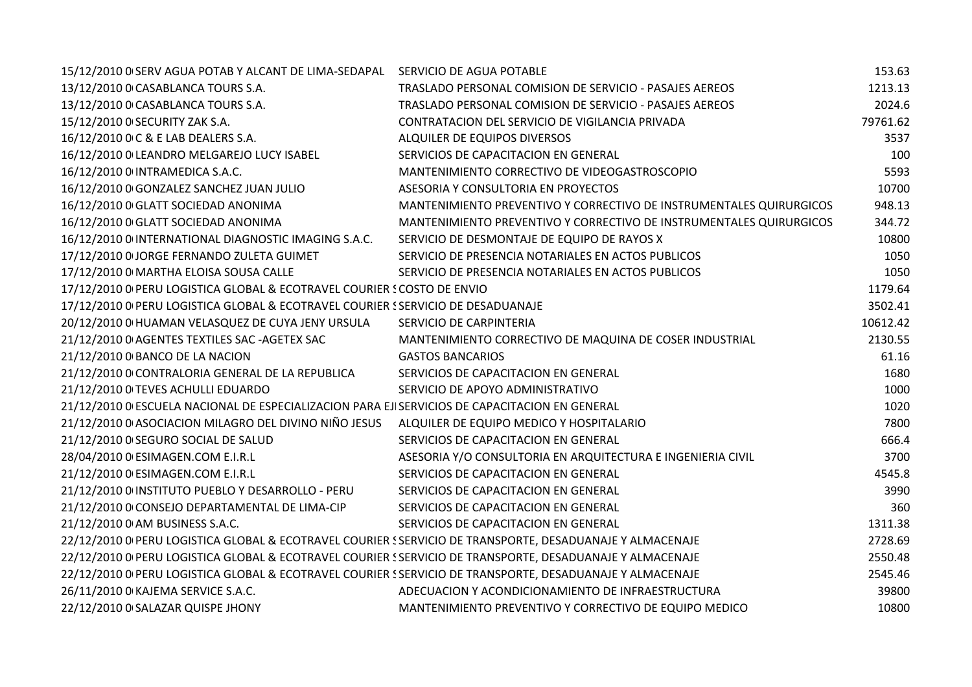| 15/12/2010 0 SERV AGUA POTAB Y ALCANT DE LIMA-SEDAPAL                                                    | SERVICIO DE AGUA POTABLE                                            | 153.63   |
|----------------------------------------------------------------------------------------------------------|---------------------------------------------------------------------|----------|
| 13/12/2010 0 CASABLANCA TOURS S.A.                                                                       | TRASLADO PERSONAL COMISION DE SERVICIO - PASAJES AEREOS             | 1213.13  |
| 13/12/2010 0 CASABLANCA TOURS S.A.                                                                       | TRASLADO PERSONAL COMISION DE SERVICIO - PASAJES AEREOS             | 2024.6   |
| 15/12/2010 O SECURITY ZAK S.A.                                                                           | CONTRATACION DEL SERVICIO DE VIGILANCIA PRIVADA                     | 79761.62 |
| 16/12/2010 0 C & E LAB DEALERS S.A.                                                                      | ALQUILER DE EQUIPOS DIVERSOS                                        | 3537     |
| 16/12/2010 0 LEANDRO MELGAREJO LUCY ISABEL                                                               | SERVICIOS DE CAPACITACION EN GENERAL                                | 100      |
| 16/12/2010 0 INTRAMEDICA S.A.C.                                                                          | MANTENIMIENTO CORRECTIVO DE VIDEOGASTROSCOPIO                       | 5593     |
| 16/12/2010 0 GONZALEZ SANCHEZ JUAN JULIO                                                                 | ASESORIA Y CONSULTORIA EN PROYECTOS                                 | 10700    |
| 16/12/2010 0 GLATT SOCIEDAD ANONIMA                                                                      | MANTENIMIENTO PREVENTIVO Y CORRECTIVO DE INSTRUMENTALES QUIRURGICOS | 948.13   |
| 16/12/2010 0 GLATT SOCIEDAD ANONIMA                                                                      | MANTENIMIENTO PREVENTIVO Y CORRECTIVO DE INSTRUMENTALES QUIRURGICOS | 344.72   |
| 16/12/2010 0 INTERNATIONAL DIAGNOSTIC IMAGING S.A.C.                                                     | SERVICIO DE DESMONTAJE DE EQUIPO DE RAYOS X                         | 10800    |
| 17/12/2010 0 JORGE FERNANDO ZULETA GUIMET                                                                | SERVICIO DE PRESENCIA NOTARIALES EN ACTOS PUBLICOS                  | 1050     |
| 17/12/2010 0 MARTHA ELOISA SOUSA CALLE                                                                   | SERVICIO DE PRESENCIA NOTARIALES EN ACTOS PUBLICOS                  | 1050     |
| 17/12/2010 O PERU LOGISTICA GLOBAL & ECOTRAVEL COURIER SCOSTO DE ENVIO                                   |                                                                     | 1179.64  |
| 17/12/2010 O PERU LOGISTICA GLOBAL & ECOTRAVEL COURIER S SERVICIO DE DESADUANAJE                         |                                                                     | 3502.41  |
| 20/12/2010 0 HUAMAN VELASQUEZ DE CUYA JENY URSULA                                                        | SERVICIO DE CARPINTERIA                                             | 10612.42 |
| 21/12/2010 0 AGENTES TEXTILES SAC - AGETEX SAC                                                           | MANTENIMIENTO CORRECTIVO DE MAQUINA DE COSER INDUSTRIAL             | 2130.55  |
| 21/12/2010 0 BANCO DE LA NACION                                                                          | <b>GASTOS BANCARIOS</b>                                             | 61.16    |
| 21/12/2010 O CONTRALORIA GENERAL DE LA REPUBLICA                                                         | SERVICIOS DE CAPACITACION EN GENERAL                                | 1680     |
| 21/12/2010 O TEVES ACHULLI EDUARDO                                                                       | SERVICIO DE APOYO ADMINISTRATIVO                                    | 1000     |
| 21/12/2010 O ESCUELA NACIONAL DE ESPECIALIZACION PARA EJISERVICIOS DE CAPACITACION EN GENERAL            |                                                                     | 1020     |
| 21/12/2010 0 ASOCIACION MILAGRO DEL DIVINO NIÑO JESUS                                                    | ALQUILER DE EQUIPO MEDICO Y HOSPITALARIO                            | 7800     |
| 21/12/2010 0 SEGURO SOCIAL DE SALUD                                                                      | SERVICIOS DE CAPACITACION EN GENERAL                                | 666.4    |
| 28/04/2010 0 ESIMAGEN.COM E.I.R.L                                                                        | ASESORIA Y/O CONSULTORIA EN ARQUITECTURA E INGENIERIA CIVIL         | 3700     |
| 21/12/2010 0 ESIMAGEN.COM E.I.R.L                                                                        | SERVICIOS DE CAPACITACION EN GENERAL                                | 4545.8   |
| 21/12/2010 0 INSTITUTO PUEBLO Y DESARROLLO - PERU                                                        | SERVICIOS DE CAPACITACION EN GENERAL                                | 3990     |
| 21/12/2010 O CONSEJO DEPARTAMENTAL DE LIMA-CIP                                                           | SERVICIOS DE CAPACITACION EN GENERAL                                | 360      |
| 21/12/2010 0 AM BUSINESS S.A.C.                                                                          | SERVICIOS DE CAPACITACION EN GENERAL                                | 1311.38  |
| 22/12/2010 0 PERU LOGISTICA GLOBAL & ECOTRAVEL COURIER SSERVICIO DE TRANSPORTE, DESADUANAJE Y ALMACENAJE |                                                                     | 2728.69  |
| 22/12/2010 0 PERU LOGISTICA GLOBAL & ECOTRAVEL COURIER SSERVICIO DE TRANSPORTE, DESADUANAJE Y ALMACENAJE |                                                                     | 2550.48  |
| 22/12/2010 0 PERU LOGISTICA GLOBAL & ECOTRAVEL COURIER SSERVICIO DE TRANSPORTE, DESADUANAJE Y ALMACENAJE |                                                                     | 2545.46  |
| 26/11/2010 0 KAJEMA SERVICE S.A.C.                                                                       | ADECUACION Y ACONDICIONAMIENTO DE INFRAESTRUCTURA                   | 39800    |
| 22/12/2010 0 SALAZAR QUISPE JHONY                                                                        | MANTENIMIENTO PREVENTIVO Y CORRECTIVO DE EQUIPO MEDICO              | 10800    |
|                                                                                                          |                                                                     |          |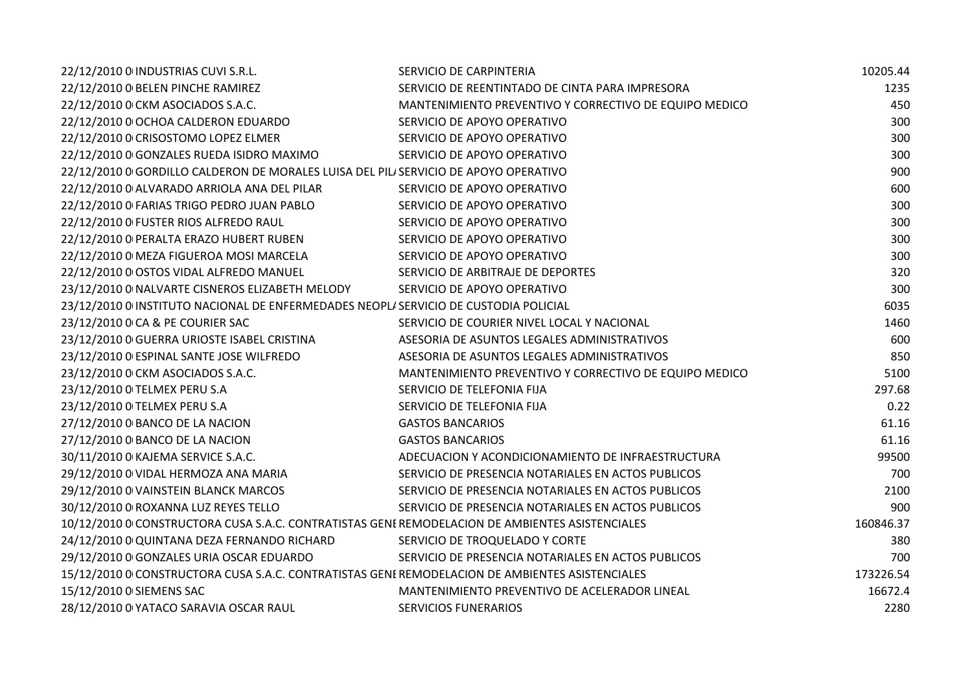| 22/12/2010 0 INDUSTRIAS CUVI S.R.L.                                                            | SERVICIO DE CARPINTERIA                                | 10205.44  |
|------------------------------------------------------------------------------------------------|--------------------------------------------------------|-----------|
| 22/12/2010 O BELEN PINCHE RAMIREZ                                                              | SERVICIO DE REENTINTADO DE CINTA PARA IMPRESORA        | 1235      |
| 22/12/2010 0 CKM ASOCIADOS S.A.C.                                                              | MANTENIMIENTO PREVENTIVO Y CORRECTIVO DE EQUIPO MEDICO | 450       |
| 22/12/2010 0 OCHOA CALDERON EDUARDO                                                            | SERVICIO DE APOYO OPERATIVO                            | 300       |
| 22/12/2010 0 CRISOSTOMO LOPEZ ELMER                                                            | SERVICIO DE APOYO OPERATIVO                            | 300       |
| 22/12/2010 0 GONZALES RUEDA ISIDRO MAXIMO                                                      | SERVICIO DE APOYO OPERATIVO                            | 300       |
| 22/12/2010 0 GORDILLO CALDERON DE MORALES LUISA DEL PILI SERVICIO DE APOYO OPERATIVO           |                                                        | 900       |
| 22/12/2010 0 ALVARADO ARRIOLA ANA DEL PILAR                                                    | SERVICIO DE APOYO OPERATIVO                            | 600       |
| 22/12/2010 O FARIAS TRIGO PEDRO JUAN PABLO                                                     | SERVICIO DE APOYO OPERATIVO                            | 300       |
| 22/12/2010 O FUSTER RIOS ALFREDO RAUL                                                          | SERVICIO DE APOYO OPERATIVO                            | 300       |
| 22/12/2010 O PERALTA ERAZO HUBERT RUBEN                                                        | SERVICIO DE APOYO OPERATIVO                            | 300       |
| 22/12/2010 0 MEZA FIGUEROA MOSI MARCELA                                                        | SERVICIO DE APOYO OPERATIVO                            | 300       |
| 22/12/2010 0 OSTOS VIDAL ALFREDO MANUEL                                                        | SERVICIO DE ARBITRAJE DE DEPORTES                      | 320       |
| 23/12/2010 O NALVARTE CISNEROS ELIZABETH MELODY                                                | SERVICIO DE APOYO OPERATIVO                            | 300       |
| 23/12/2010 0 INSTITUTO NACIONAL DE ENFERMEDADES NEOPLI SERVICIO DE CUSTODIA POLICIAL           |                                                        | 6035      |
| 23/12/2010 0 CA & PE COURIER SAC                                                               | SERVICIO DE COURIER NIVEL LOCAL Y NACIONAL             | 1460      |
| 23/12/2010 O GUERRA URIOSTE ISABEL CRISTINA                                                    | ASESORIA DE ASUNTOS LEGALES ADMINISTRATIVOS            | 600       |
| 23/12/2010 0 ESPINAL SANTE JOSE WILFREDO                                                       | ASESORIA DE ASUNTOS LEGALES ADMINISTRATIVOS            | 850       |
| 23/12/2010 0 CKM ASOCIADOS S.A.C.                                                              | MANTENIMIENTO PREVENTIVO Y CORRECTIVO DE EQUIPO MEDICO | 5100      |
| 23/12/2010 O TELMEX PERU S.A                                                                   | SERVICIO DE TELEFONIA FIJA                             | 297.68    |
| 23/12/2010 O TELMEX PERU S.A                                                                   | SERVICIO DE TELEFONIA FIJA                             | 0.22      |
| 27/12/2010 0 BANCO DE LA NACION                                                                | <b>GASTOS BANCARIOS</b>                                | 61.16     |
| 27/12/2010 0 BANCO DE LA NACION                                                                | <b>GASTOS BANCARIOS</b>                                | 61.16     |
| 30/11/2010 0 KAJEMA SERVICE S.A.C.                                                             | ADECUACION Y ACONDICIONAMIENTO DE INFRAESTRUCTURA      | 99500     |
| 29/12/2010 0 VIDAL HERMOZA ANA MARIA                                                           | SERVICIO DE PRESENCIA NOTARIALES EN ACTOS PUBLICOS     | 700       |
| 29/12/2010 0 VAINSTEIN BLANCK MARCOS                                                           | SERVICIO DE PRESENCIA NOTARIALES EN ACTOS PUBLICOS     | 2100      |
| 30/12/2010 0 ROXANNA LUZ REYES TELLO                                                           | SERVICIO DE PRESENCIA NOTARIALES EN ACTOS PUBLICOS     | 900       |
| 10/12/2010 0 CONSTRUCTORA CUSA S.A.C. CONTRATISTAS GENEREMODELACION DE AMBIENTES ASISTENCIALES |                                                        | 160846.37 |
| 24/12/2010 0 QUINTANA DEZA FERNANDO RICHARD                                                    | SERVICIO DE TROQUELADO Y CORTE                         | 380       |
| 29/12/2010 0 GONZALES URIA OSCAR EDUARDO                                                       | SERVICIO DE PRESENCIA NOTARIALES EN ACTOS PUBLICOS     | 700       |
| 15/12/2010 0 CONSTRUCTORA CUSA S.A.C. CONTRATISTAS GENEREMODELACION DE AMBIENTES ASISTENCIALES |                                                        | 173226.54 |
| 15/12/2010 0 SIEMENS SAC                                                                       | MANTENIMIENTO PREVENTIVO DE ACELERADOR LINEAL          | 16672.4   |
| 28/12/2010 0 YATACO SARAVIA OSCAR RAUL                                                         | <b>SERVICIOS FUNERARIOS</b>                            | 2280      |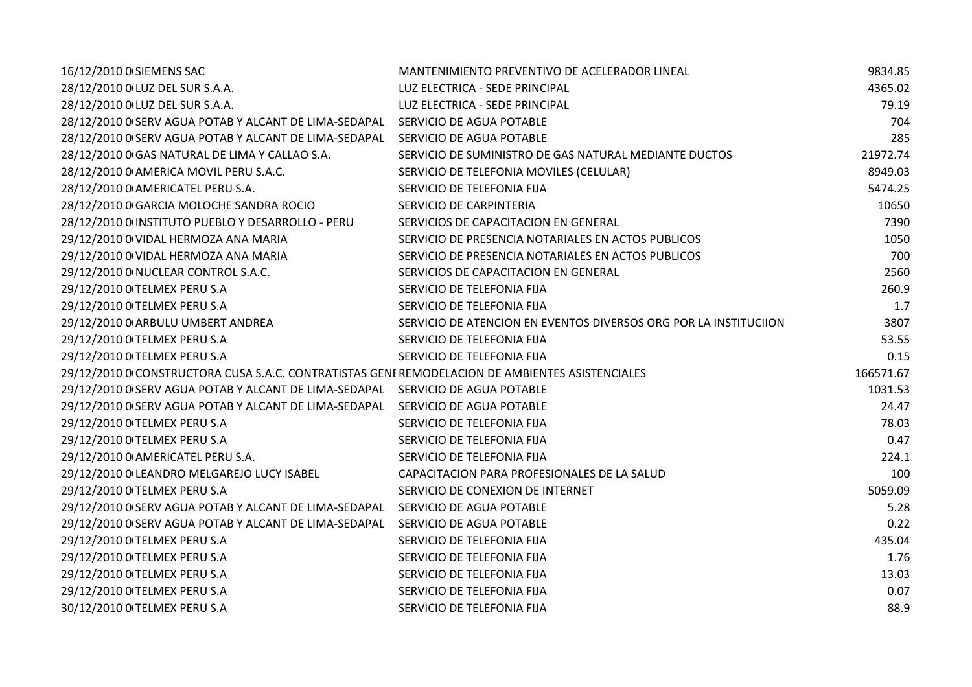| 16/12/2010 0 SIEMENS SAC                                                                       | MANTENIMIENTO PREVENTIVO DE ACELERADOR LINEAL                    | 9834.85   |
|------------------------------------------------------------------------------------------------|------------------------------------------------------------------|-----------|
| 28/12/2010 0 LUZ DEL SUR S.A.A.                                                                | LUZ ELECTRICA - SEDE PRINCIPAL                                   | 4365.02   |
| 28/12/2010 0 LUZ DEL SUR S.A.A.                                                                | LUZ ELECTRICA - SEDE PRINCIPAL                                   | 79.19     |
| 28/12/2010 0 SERV AGUA POTAB Y ALCANT DE LIMA-SEDAPAL                                          | SERVICIO DE AGUA POTABLE                                         | 704       |
| 28/12/2010 0 SERV AGUA POTAB Y ALCANT DE LIMA-SEDAPAL                                          | SERVICIO DE AGUA POTABLE                                         | 285       |
| 28/12/2010 0 GAS NATURAL DE LIMA Y CALLAO S.A.                                                 | SERVICIO DE SUMINISTRO DE GAS NATURAL MEDIANTE DUCTOS            | 21972.74  |
| 28/12/2010 0 AMERICA MOVIL PERU S.A.C.                                                         | SERVICIO DE TELEFONIA MOVILES (CELULAR)                          | 8949.03   |
| 28/12/2010 0 AMERICATEL PERU S.A.                                                              | SERVICIO DE TELEFONIA FIJA                                       | 5474.25   |
| 28/12/2010 0 GARCIA MOLOCHE SANDRA ROCIO                                                       | SERVICIO DE CARPINTERIA                                          | 10650     |
| 28/12/2010 0 INSTITUTO PUEBLO Y DESARROLLO - PERU                                              | SERVICIOS DE CAPACITACION EN GENERAL                             | 7390      |
| 29/12/2010 0 VIDAL HERMOZA ANA MARIA                                                           | SERVICIO DE PRESENCIA NOTARIALES EN ACTOS PUBLICOS               | 1050      |
| 29/12/2010 0 VIDAL HERMOZA ANA MARIA                                                           | SERVICIO DE PRESENCIA NOTARIALES EN ACTOS PUBLICOS               | 700       |
| 29/12/2010 0 NUCLEAR CONTROL S.A.C.                                                            | SERVICIOS DE CAPACITACION EN GENERAL                             | 2560      |
| 29/12/2010 O TELMEX PERU S.A                                                                   | SERVICIO DE TELEFONIA FIJA                                       | 260.9     |
| 29/12/2010 O TELMEX PERU S.A                                                                   | SERVICIO DE TELEFONIA FIJA                                       | 1.7       |
| 29/12/2010 0 ARBULU UMBERT ANDREA                                                              | SERVICIO DE ATENCION EN EVENTOS DIVERSOS ORG POR LA INSTITUCIION | 3807      |
| 29/12/2010 O TELMEX PERU S.A                                                                   | SERVICIO DE TELEFONIA FIJA                                       | 53.55     |
| 29/12/2010 O TELMEX PERU S.A                                                                   | SERVICIO DE TELEFONIA FIJA                                       | 0.15      |
| 29/12/2010 0 CONSTRUCTORA CUSA S.A.C. CONTRATISTAS GENEREMODELACION DE AMBIENTES ASISTENCIALES |                                                                  | 166571.67 |
| 29/12/2010 0 SERV AGUA POTAB Y ALCANT DE LIMA-SEDAPAL SERVICIO DE AGUA POTABLE                 |                                                                  | 1031.53   |
| 29/12/2010 0 SERV AGUA POTAB Y ALCANT DE LIMA-SEDAPAL                                          | SERVICIO DE AGUA POTABLE                                         | 24.47     |
| 29/12/2010 0 TELMEX PERU S.A                                                                   | SERVICIO DE TELEFONIA FIJA                                       | 78.03     |
| 29/12/2010 O TELMEX PERU S.A                                                                   | SERVICIO DE TELEFONIA FIJA                                       | 0.47      |
| 29/12/2010 0 AMERICATEL PERU S.A.                                                              | SERVICIO DE TELEFONIA FIJA                                       | 224.1     |
| 29/12/2010 0 LEANDRO MELGAREJO LUCY ISABEL                                                     | CAPACITACION PARA PROFESIONALES DE LA SALUD                      | 100       |
| 29/12/2010 O TELMEX PERU S.A                                                                   | SERVICIO DE CONEXION DE INTERNET                                 | 5059.09   |
| 29/12/2010 0 SERV AGUA POTAB Y ALCANT DE LIMA-SEDAPAL                                          | SERVICIO DE AGUA POTABLE                                         | 5.28      |
| 29/12/2010 0 SERV AGUA POTAB Y ALCANT DE LIMA-SEDAPAL                                          | SERVICIO DE AGUA POTABLE                                         | 0.22      |
| 29/12/2010 O TELMEX PERU S.A                                                                   | SERVICIO DE TELEFONIA FIJA                                       | 435.04    |
| 29/12/2010 O TELMEX PERU S.A                                                                   | SERVICIO DE TELEFONIA FIJA                                       | 1.76      |
| 29/12/2010 O TELMEX PERU S.A                                                                   | SERVICIO DE TELEFONIA FIJA                                       | 13.03     |
| 29/12/2010 O TELMEX PERU S.A                                                                   | SERVICIO DE TELEFONIA FIJA                                       | 0.07      |
| 30/12/2010 0 TELMEX PERU S.A                                                                   | SERVICIO DE TELEFONIA FIJA                                       | 88.9      |
|                                                                                                |                                                                  |           |